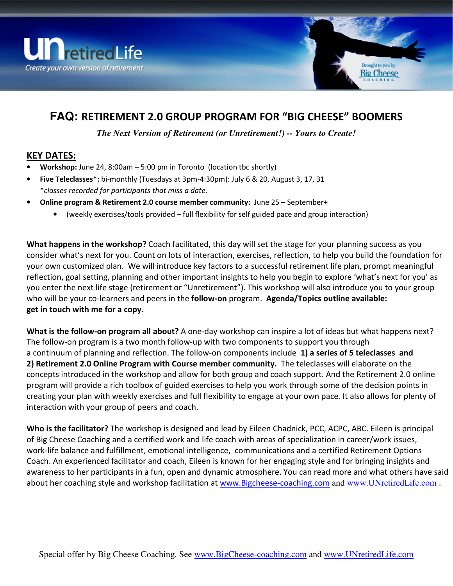



## **FAQ:** RETIREMENT 2.0 GROUP PROGRAM FOR "BIG CHEESE" BOOMERS

*The Next Version of Retirement (or Unretirement!) -- Yours to Create!* 

## KEY DATES:

- **Workshop:** June 24, 8:00am  $-$  5:00 pm in Toronto (location tbc shortly)
- Five Teleclasses\*: bi-monthly (Tuesdays at 3pm-4:30pm): July 6 & 20, August 3, 17, 31 \*classes recorded for participants that miss a date.
- Online program & Retirement 2.0 course member community: June 25 September+
	- (weekly exercises/tools provided full flexibility for self guided pace and group interaction)

What happens in the workshop? Coach facilitated, this day will set the stage for your planning success as you consider what's next for you. Count on lots of interaction, exercises, reflection, to help you build the foundation for your own customized plan. We will introduce key factors to a successful retirement life plan, prompt meaningful reflection, goal setting, planning and other important insights to help you begin to explore 'what's next for you' as you enter the next life stage (retirement or "Unretirement"). This workshop will also introduce you to your group who will be your co-learners and peers in the **follow-on** program. Agenda/Topics outline available: get in touch with me for a copy.

What is the follow-on program all about? A one-day workshop can inspire a lot of ideas but what happens next? The follow-on program is a two month follow-up with two components to support you through a continuum of planning and reflection. The follow-on components include 1) a series of 5 teleclasses and 2) Retirement 2.0 Online Program with Course member community. The teleclasses will elaborate on the concepts introduced in the workshop and allow for both group and coach support. And the Retirement 2.0 online program will provide a rich toolbox of guided exercises to help you work through some of the decision points in creating your plan with weekly exercises and full flexibility to engage at your own pace. It also allows for plenty of interaction with your group of peers and coach.

Who is the facilitator? The workshop is designed and lead by Eileen Chadnick, PCC, ACPC, ABC. Eileen is principal of Big Cheese Coaching and a certified work and life coach with areas of specialization in career/work issues, work-life balance and fulfillment, emotional intelligence, communications and a certified Retirement Options Coach. An experienced facilitator and coach, Eileen is known for her engaging style and for bringing insights and awareness to her participants in a fun, open and dynamic atmosphere. You can read more and what others have said about her coaching style and workshop facilitation at www.Bigcheese-coaching.com and www.UNretiredLife.com .